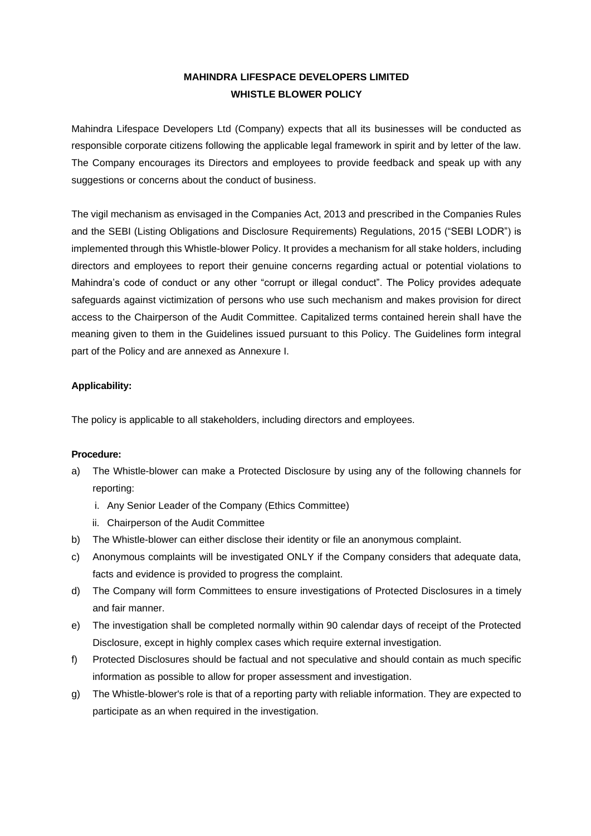# **MAHINDRA LIFESPACE DEVELOPERS LIMITED WHISTLE BLOWER POLICY**

Mahindra Lifespace Developers Ltd (Company) expects that all its businesses will be conducted as responsible corporate citizens following the applicable legal framework in spirit and by letter of the law. The Company encourages its Directors and employees to provide feedback and speak up with any suggestions or concerns about the conduct of business.

The vigil mechanism as envisaged in the Companies Act, 2013 and prescribed in the Companies Rules and the SEBI (Listing Obligations and Disclosure Requirements) Regulations, 2015 ("SEBI LODR") is implemented through this Whistle-blower Policy. It provides a mechanism for all stake holders, including directors and employees to report their genuine concerns regarding actual or potential violations to Mahindra's code of conduct or any other "corrupt or illegal conduct". The Policy provides adequate safeguards against victimization of persons who use such mechanism and makes provision for direct access to the Chairperson of the Audit Committee. Capitalized terms contained herein shall have the meaning given to them in the Guidelines issued pursuant to this Policy. The Guidelines form integral part of the Policy and are annexed as Annexure I.

## **Applicability:**

The policy is applicable to all stakeholders, including directors and employees.

#### **Procedure:**

- a) The Whistle-blower can make a Protected Disclosure by using any of the following channels for reporting:
	- i. Any Senior Leader of the Company (Ethics Committee)
	- ii. Chairperson of the Audit Committee
- b) The Whistle-blower can either disclose their identity or file an anonymous complaint.
- c) Anonymous complaints will be investigated ONLY if the Company considers that adequate data, facts and evidence is provided to progress the complaint.
- d) The Company will form Committees to ensure investigations of Protected Disclosures in a timely and fair manner.
- e) The investigation shall be completed normally within 90 calendar days of receipt of the Protected Disclosure, except in highly complex cases which require external investigation.
- f) Protected Disclosures should be factual and not speculative and should contain as much specific information as possible to allow for proper assessment and investigation.
- g) The Whistle-blower's role is that of a reporting party with reliable information. They are expected to participate as an when required in the investigation.